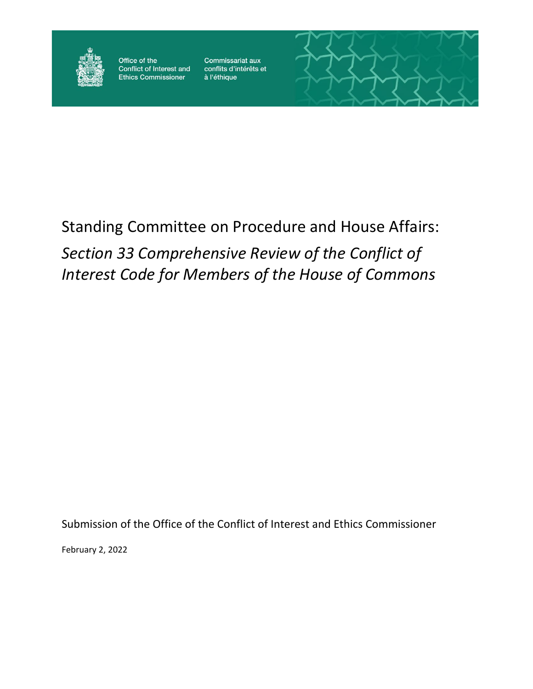

Office of the Conflict of Interest and Ethics Commissioner

Commissariat aux conflits d'intérêts et à l'éthique



# Standing Committee on Procedure and House Affairs:

# *Section 33 Comprehensive Review of the Conflict of Interest Code for Members of the House of Commons*

Submission of the Office of the Conflict of Interest and Ethics Commissioner

February 2, 2022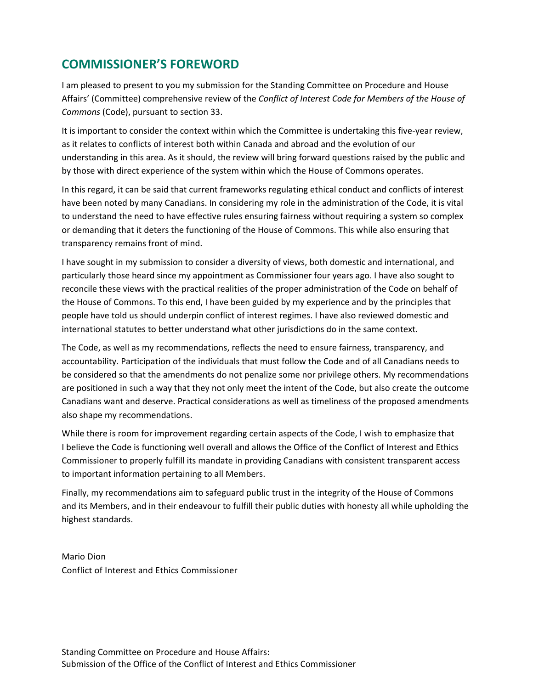# **COMMISSIONER'S FOREWORD**

I am pleased to present to you my submission for the Standing Committee on Procedure and House Affairs' (Committee) comprehensive review of the *Conflict of Interest Code for Members of the House of Commons* (Code), pursuant to section 33.

It is important to consider the context within which the Committee is undertaking this five-year review, as it relates to conflicts of interest both within Canada and abroad and the evolution of our understanding in this area. As it should, the review will bring forward questions raised by the public and by those with direct experience of the system within which the House of Commons operates.

In this regard, it can be said that current frameworks regulating ethical conduct and conflicts of interest have been noted by many Canadians. In considering my role in the administration of the Code, it is vital to understand the need to have effective rules ensuring fairness without requiring a system so complex or demanding that it deters the functioning of the House of Commons. This while also ensuring that transparency remains front of mind.

I have sought in my submission to consider a diversity of views, both domestic and international, and particularly those heard since my appointment as Commissioner four years ago. I have also sought to reconcile these views with the practical realities of the proper administration of the Code on behalf of the House of Commons. To this end, I have been guided by my experience and by the principles that people have told us should underpin conflict of interest regimes. I have also reviewed domestic and international statutes to better understand what other jurisdictions do in the same context.

The Code, as well as my recommendations, reflects the need to ensure fairness, transparency, and accountability. Participation of the individuals that must follow the Code and of all Canadians needs to be considered so that the amendments do not penalize some nor privilege others. My recommendations are positioned in such a way that they not only meet the intent of the Code, but also create the outcome Canadians want and deserve. Practical considerations as well as timeliness of the proposed amendments also shape my recommendations.

While there is room for improvement regarding certain aspects of the Code, I wish to emphasize that I believe the Code is functioning well overall and allows the Office of the Conflict of Interest and Ethics Commissioner to properly fulfill its mandate in providing Canadians with consistent transparent access to important information pertaining to all Members.

Finally, my recommendations aim to safeguard public trust in the integrity of the House of Commons and its Members, and in their endeavour to fulfill their public duties with honesty all while upholding the highest standards.

Mario Dion Conflict of Interest and Ethics Commissioner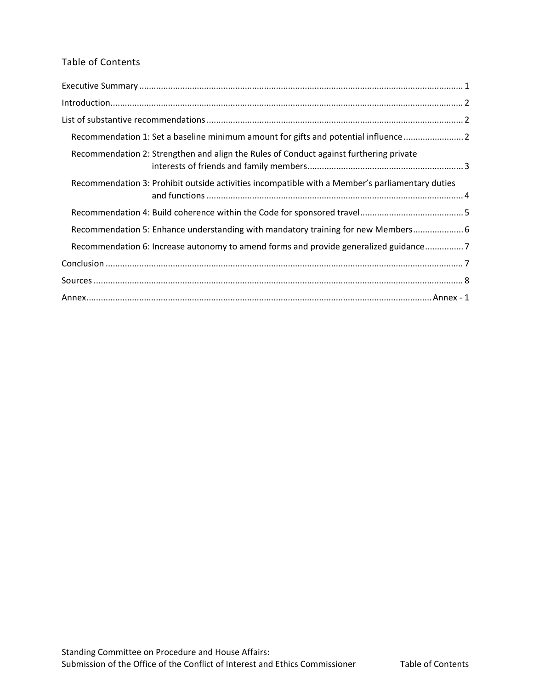### Table of Contents

| Recommendation 1: Set a baseline minimum amount for gifts and potential influence  2            |  |
|-------------------------------------------------------------------------------------------------|--|
| Recommendation 2: Strengthen and align the Rules of Conduct against furthering private          |  |
| Recommendation 3: Prohibit outside activities incompatible with a Member's parliamentary duties |  |
|                                                                                                 |  |
| Recommendation 5: Enhance understanding with mandatory training for new Members 6               |  |
| Recommendation 6: Increase autonomy to amend forms and provide generalized guidance7            |  |
|                                                                                                 |  |
|                                                                                                 |  |
|                                                                                                 |  |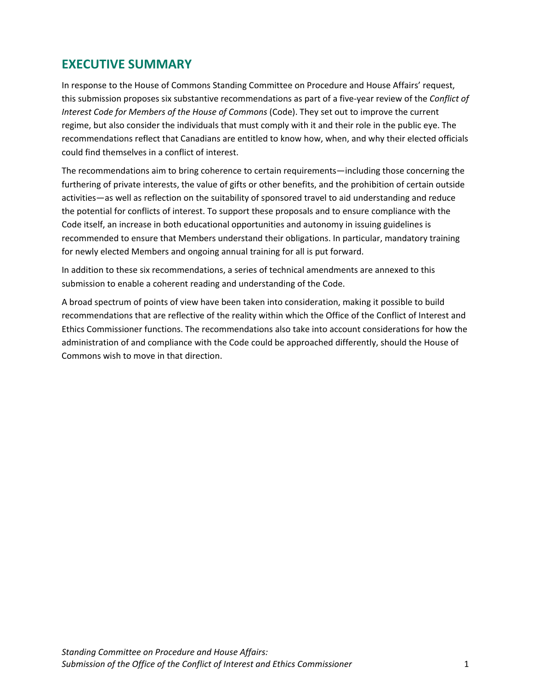# <span id="page-3-0"></span>**EXECUTIVE SUMMARY**

In response to the House of Commons Standing Committee on Procedure and House Affairs' request, this submission proposes six substantive recommendations as part of a five-year review of the *Conflict of Interest Code for Members of the House of Commons* (Code). They set out to improve the current regime, but also consider the individuals that must comply with it and their role in the public eye. The recommendations reflect that Canadians are entitled to know how, when, and why their elected officials could find themselves in a conflict of interest.

The recommendations aim to bring coherence to certain requirements—including those concerning the furthering of private interests, the value of gifts or other benefits, and the prohibition of certain outside activities—as well as reflection on the suitability of sponsored travel to aid understanding and reduce the potential for conflicts of interest. To support these proposals and to ensure compliance with the Code itself, an increase in both educational opportunities and autonomy in issuing guidelines is recommended to ensure that Members understand their obligations. In particular, mandatory training for newly elected Members and ongoing annual training for all is put forward.

In addition to these six recommendations, a series of technical amendments are annexed to this submission to enable a coherent reading and understanding of the Code.

A broad spectrum of points of view have been taken into consideration, making it possible to build recommendations that are reflective of the reality within which the Office of the Conflict of Interest and Ethics Commissioner functions. The recommendations also take into account considerations for how the administration of and compliance with the Code could be approached differently, should the House of Commons wish to move in that direction.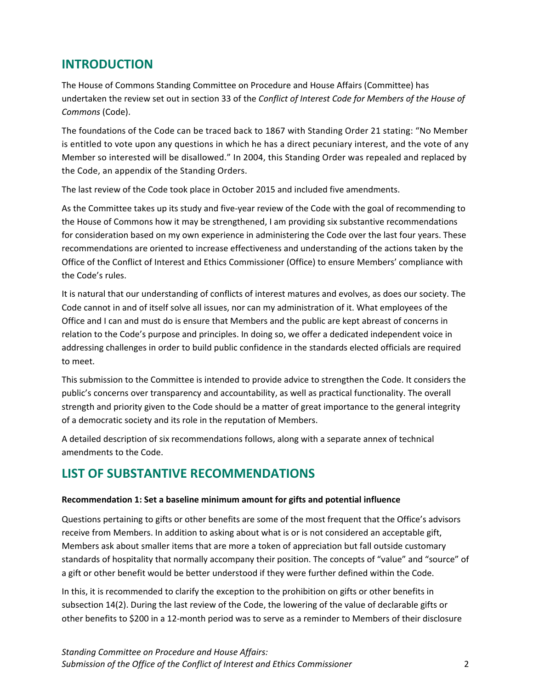## <span id="page-4-0"></span>**INTRODUCTION**

The House of Commons Standing Committee on Procedure and House Affairs (Committee) has undertaken the review set out in section 33 of the *Conflict of Interest Code for Members of the House of Commons* (Code).

The foundations of the Code can be traced back to 1867 with Standing Order 21 stating: "No Member is entitled to vote upon any questions in which he has a direct pecuniary interest, and the vote of any Member so interested will be disallowed." In 2004, this Standing Order was repealed and replaced by the Code, an appendix of the Standing Orders.

The last review of the Code took place in October 2015 and included five amendments.

As the Committee takes up its study and five-year review of the Code with the goal of recommending to the House of Commons how it may be strengthened, I am providing six substantive recommendations for consideration based on my own experience in administering the Code over the last four years. These recommendations are oriented to increase effectiveness and understanding of the actions taken by the Office of the Conflict of Interest and Ethics Commissioner (Office) to ensure Members' compliance with the Code's rules.

It is natural that our understanding of conflicts of interest matures and evolves, as does our society. The Code cannot in and of itself solve all issues, nor can my administration of it. What employees of the Office and I can and must do is ensure that Members and the public are kept abreast of concerns in relation to the Code's purpose and principles. In doing so, we offer a dedicated independent voice in addressing challenges in order to build public confidence in the standards elected officials are required to meet.

This submission to the Committee is intended to provide advice to strengthen the Code. It considers the public's concerns over transparency and accountability, as well as practical functionality. The overall strength and priority given to the Code should be a matter of great importance to the general integrity of a democratic society and its role in the reputation of Members.

A detailed description of six recommendations follows, along with a separate annex of technical amendments to the Code.

# <span id="page-4-1"></span>**LIST OF SUBSTANTIVE RECOMMENDATIONS**

### <span id="page-4-2"></span>**Recommendation 1: Set a baseline minimum amount for gifts and potential influence**

Questions pertaining to gifts or other benefits are some of the most frequent that the Office's advisors receive from Members. In addition to asking about what is or is not considered an acceptable gift, Members ask about smaller items that are more a token of appreciation but fall outside customary standards of hospitality that normally accompany their position. The concepts of "value" and "source" of a gift or other benefit would be better understood if they were further defined within the Code.

In this, it is recommended to clarify the exception to the prohibition on gifts or other benefits in subsection 14(2). During the last review of the Code, the lowering of the value of declarable gifts or other benefits to \$200 in a 12-month period was to serve as a reminder to Members of their disclosure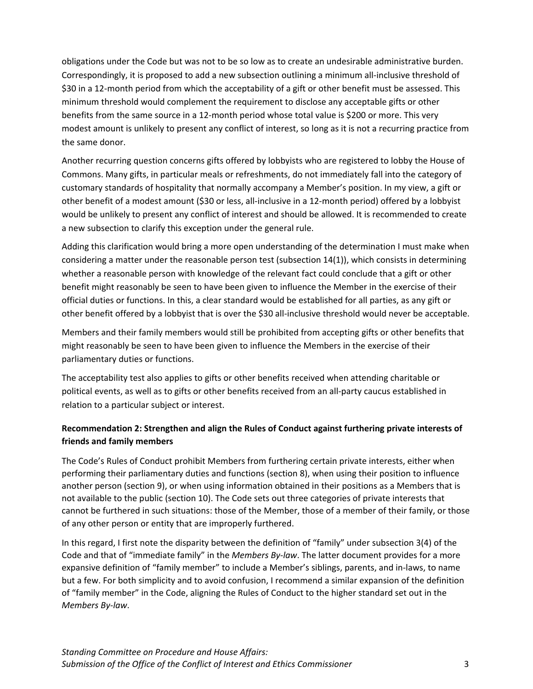obligations under the Code but was not to be so low as to create an undesirable administrative burden. Correspondingly, it is proposed to add a new subsection outlining a minimum all-inclusive threshold of \$30 in a 12-month period from which the acceptability of a gift or other benefit must be assessed. This minimum threshold would complement the requirement to disclose any acceptable gifts or other benefits from the same source in a 12-month period whose total value is \$200 or more. This very modest amount is unlikely to present any conflict of interest, so long as it is not a recurring practice from the same donor.

Another recurring question concerns gifts offered by lobbyists who are registered to lobby the House of Commons. Many gifts, in particular meals or refreshments, do not immediately fall into the category of customary standards of hospitality that normally accompany a Member's position. In my view, a gift or other benefit of a modest amount (\$30 or less, all-inclusive in a 12-month period) offered by a lobbyist would be unlikely to present any conflict of interest and should be allowed. It is recommended to create a new subsection to clarify this exception under the general rule.

Adding this clarification would bring a more open understanding of the determination I must make when considering a matter under the reasonable person test (subsection 14(1)), which consists in determining whether a reasonable person with knowledge of the relevant fact could conclude that a gift or other benefit might reasonably be seen to have been given to influence the Member in the exercise of their official duties or functions. In this, a clear standard would be established for all parties, as any gift or other benefit offered by a lobbyist that is over the \$30 all-inclusive threshold would never be acceptable.

Members and their family members would still be prohibited from accepting gifts or other benefits that might reasonably be seen to have been given to influence the Members in the exercise of their parliamentary duties or functions.

The acceptability test also applies to gifts or other benefits received when attending charitable or political events, as well as to gifts or other benefits received from an all-party caucus established in relation to a particular subject or interest.

### <span id="page-5-0"></span>**Recommendation 2: Strengthen and align the Rules of Conduct against furthering private interests of friends and family members**

The Code's Rules of Conduct prohibit Members from furthering certain private interests, either when performing their parliamentary duties and functions (section 8), when using their position to influence another person (section 9), or when using information obtained in their positions as a Members that is not available to the public (section 10). The Code sets out three categories of private interests that cannot be furthered in such situations: those of the Member, those of a member of their family, or those of any other person or entity that are improperly furthered.

In this regard, I first note the disparity between the definition of "family" under subsection 3(4) of the Code and that of "immediate family" in the *Members By-law*. The latter document provides for a more expansive definition of "family member" to include a Member's siblings, parents, and in-laws, to name but a few. For both simplicity and to avoid confusion, I recommend a similar expansion of the definition of "family member" in the Code, aligning the Rules of Conduct to the higher standard set out in the *Members By-law*.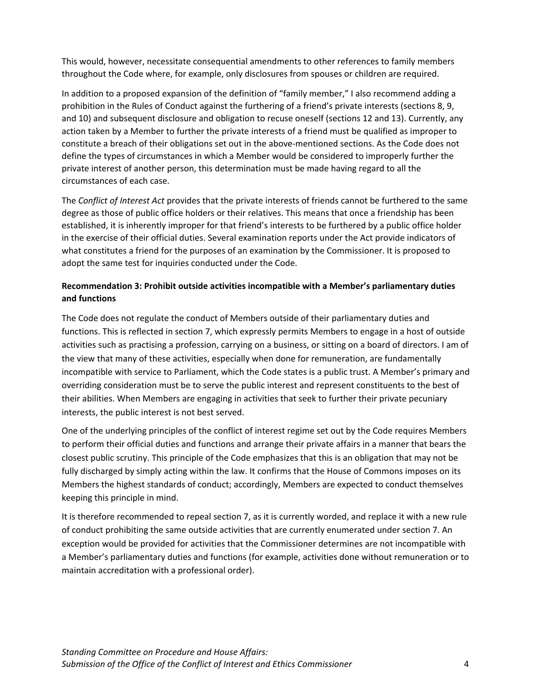This would, however, necessitate consequential amendments to other references to family members throughout the Code where, for example, only disclosures from spouses or children are required.

In addition to a proposed expansion of the definition of "family member," I also recommend adding a prohibition in the Rules of Conduct against the furthering of a friend's private interests (sections 8, 9, and 10) and subsequent disclosure and obligation to recuse oneself (sections 12 and 13). Currently, any action taken by a Member to further the private interests of a friend must be qualified as improper to constitute a breach of their obligations set out in the above-mentioned sections. As the Code does not define the types of circumstances in which a Member would be considered to improperly further the private interest of another person, this determination must be made having regard to all the circumstances of each case.

The *Conflict of Interest Act* provides that the private interests of friends cannot be furthered to the same degree as those of public office holders or their relatives. This means that once a friendship has been established, it is inherently improper for that friend's interests to be furthered by a public office holder in the exercise of their official duties. Several examination reports under the Act provide indicators of what constitutes a friend for the purposes of an examination by the Commissioner. It is proposed to adopt the same test for inquiries conducted under the Code.

### <span id="page-6-0"></span>**Recommendation 3: Prohibit outside activities incompatible with a Member's parliamentary duties and functions**

The Code does not regulate the conduct of Members outside of their parliamentary duties and functions. This is reflected in section 7, which expressly permits Members to engage in a host of outside activities such as practising a profession, carrying on a business, or sitting on a board of directors. I am of the view that many of these activities, especially when done for remuneration, are fundamentally incompatible with service to Parliament, which the Code states is a public trust. A Member's primary and overriding consideration must be to serve the public interest and represent constituents to the best of their abilities. When Members are engaging in activities that seek to further their private pecuniary interests, the public interest is not best served.

One of the underlying principles of the conflict of interest regime set out by the Code requires Members to perform their official duties and functions and arrange their private affairs in a manner that bears the closest public scrutiny. This principle of the Code emphasizes that this is an obligation that may not be fully discharged by simply acting within the law. It confirms that the House of Commons imposes on its Members the highest standards of conduct; accordingly, Members are expected to conduct themselves keeping this principle in mind.

It is therefore recommended to repeal section 7, as it is currently worded, and replace it with a new rule of conduct prohibiting the same outside activities that are currently enumerated under section 7. An exception would be provided for activities that the Commissioner determines are not incompatible with a Member's parliamentary duties and functions (for example, activities done without remuneration or to maintain accreditation with a professional order).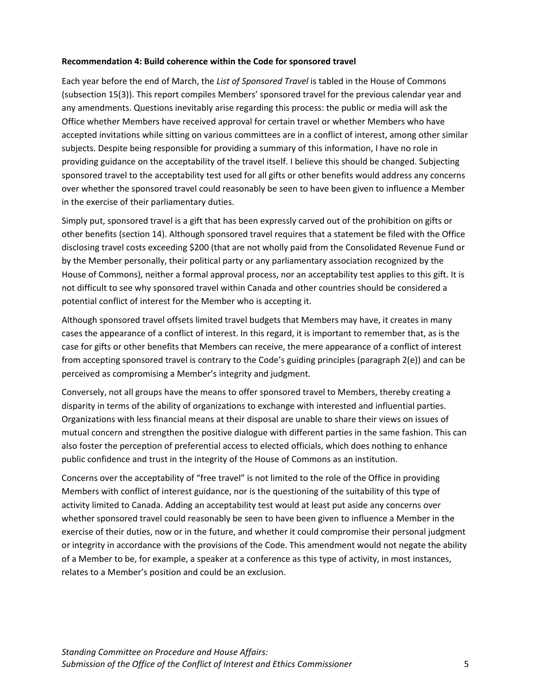#### <span id="page-7-0"></span>**Recommendation 4: Build coherence within the Code for sponsored travel**

Each year before the end of March, the *List of Sponsored Travel* is tabled in the House of Commons (subsection 15(3)). This report compiles Members' sponsored travel for the previous calendar year and any amendments. Questions inevitably arise regarding this process: the public or media will ask the Office whether Members have received approval for certain travel or whether Members who have accepted invitations while sitting on various committees are in a conflict of interest, among other similar subjects. Despite being responsible for providing a summary of this information, I have no role in providing guidance on the acceptability of the travel itself. I believe this should be changed. Subjecting sponsored travel to the acceptability test used for all gifts or other benefits would address any concerns over whether the sponsored travel could reasonably be seen to have been given to influence a Member in the exercise of their parliamentary duties.

Simply put, sponsored travel is a gift that has been expressly carved out of the prohibition on gifts or other benefits (section 14). Although sponsored travel requires that a statement be filed with the Office disclosing travel costs exceeding \$200 (that are not wholly paid from the Consolidated Revenue Fund or by the Member personally, their political party or any parliamentary association recognized by the House of Commons), neither a formal approval process, nor an acceptability test applies to this gift. It is not difficult to see why sponsored travel within Canada and other countries should be considered a potential conflict of interest for the Member who is accepting it.

Although sponsored travel offsets limited travel budgets that Members may have, it creates in many cases the appearance of a conflict of interest. In this regard, it is important to remember that, as is the case for gifts or other benefits that Members can receive, the mere appearance of a conflict of interest from accepting sponsored travel is contrary to the Code's guiding principles (paragraph 2(e)) and can be perceived as compromising a Member's integrity and judgment.

Conversely, not all groups have the means to offer sponsored travel to Members, thereby creating a disparity in terms of the ability of organizations to exchange with interested and influential parties. Organizations with less financial means at their disposal are unable to share their views on issues of mutual concern and strengthen the positive dialogue with different parties in the same fashion. This can also foster the perception of preferential access to elected officials, which does nothing to enhance public confidence and trust in the integrity of the House of Commons as an institution.

Concerns over the acceptability of "free travel" is not limited to the role of the Office in providing Members with conflict of interest guidance, nor is the questioning of the suitability of this type of activity limited to Canada. Adding an acceptability test would at least put aside any concerns over whether sponsored travel could reasonably be seen to have been given to influence a Member in the exercise of their duties, now or in the future, and whether it could compromise their personal judgment or integrity in accordance with the provisions of the Code. This amendment would not negate the ability of a Member to be, for example, a speaker at a conference as this type of activity, in most instances, relates to a Member's position and could be an exclusion.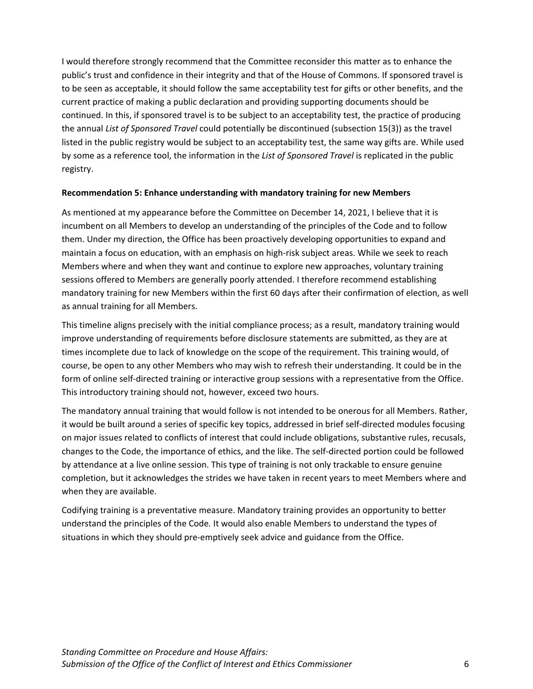I would therefore strongly recommend that the Committee reconsider this matter as to enhance the public's trust and confidence in their integrity and that of the House of Commons. If sponsored travel is to be seen as acceptable, it should follow the same acceptability test for gifts or other benefits, and the current practice of making a public declaration and providing supporting documents should be continued. In this, if sponsored travel is to be subject to an acceptability test, the practice of producing the annual *List of Sponsored Travel* could potentially be discontinued (subsection 15(3)) as the travel listed in the public registry would be subject to an acceptability test, the same way gifts are. While used by some as a reference tool, the information in the *List of Sponsored Travel* is replicated in the public registry.

#### <span id="page-8-0"></span>**Recommendation 5: Enhance understanding with mandatory training for new Members**

As mentioned at my appearance before the Committee on December 14, 2021, I believe that it is incumbent on all Members to develop an understanding of the principles of the Code and to follow them. Under my direction, the Office has been proactively developing opportunities to expand and maintain a focus on education, with an emphasis on high-risk subject areas. While we seek to reach Members where and when they want and continue to explore new approaches, voluntary training sessions offered to Members are generally poorly attended. I therefore recommend establishing mandatory training for new Members within the first 60 days after their confirmation of election, as well as annual training for all Members.

This timeline aligns precisely with the initial compliance process; as a result, mandatory training would improve understanding of requirements before disclosure statements are submitted, as they are at times incomplete due to lack of knowledge on the scope of the requirement. This training would, of course, be open to any other Members who may wish to refresh their understanding. It could be in the form of online self-directed training or interactive group sessions with a representative from the Office. This introductory training should not, however, exceed two hours.

The mandatory annual training that would follow is not intended to be onerous for all Members. Rather, it would be built around a series of specific key topics, addressed in brief self-directed modules focusing on major issues related to conflicts of interest that could include obligations, substantive rules, recusals, changes to the Code, the importance of ethics, and the like. The self-directed portion could be followed by attendance at a live online session. This type of training is not only trackable to ensure genuine completion, but it acknowledges the strides we have taken in recent years to meet Members where and when they are available.

Codifying training is a preventative measure. Mandatory training provides an opportunity to better understand the principles of the Code*.* It would also enable Members to understand the types of situations in which they should pre-emptively seek advice and guidance from the Office.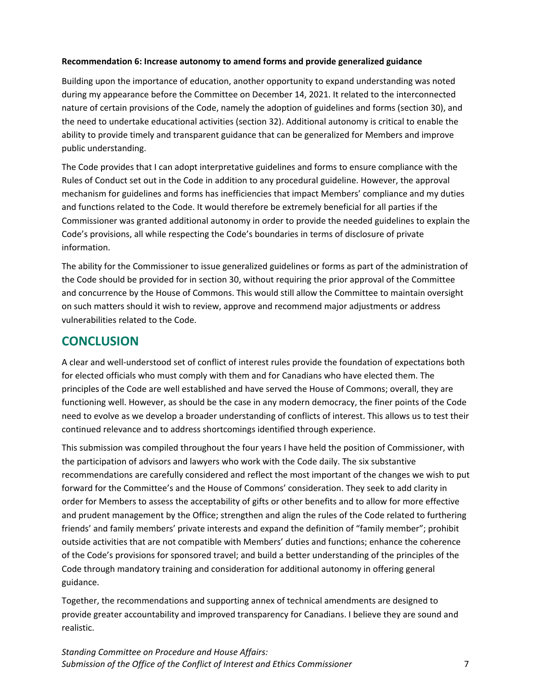#### <span id="page-9-0"></span>**Recommendation 6: Increase autonomy to amend forms and provide generalized guidance**

Building upon the importance of education, another opportunity to expand understanding was noted during my appearance before the Committee on December 14, 2021. It related to the interconnected nature of certain provisions of the Code, namely the adoption of guidelines and forms (section 30), and the need to undertake educational activities (section 32). Additional autonomy is critical to enable the ability to provide timely and transparent guidance that can be generalized for Members and improve public understanding.

The Code provides that I can adopt interpretative guidelines and forms to ensure compliance with the Rules of Conduct set out in the Code in addition to any procedural guideline. However, the approval mechanism for guidelines and forms has inefficiencies that impact Members' compliance and my duties and functions related to the Code. It would therefore be extremely beneficial for all parties if the Commissioner was granted additional autonomy in order to provide the needed guidelines to explain the Code's provisions, all while respecting the Code's boundaries in terms of disclosure of private information.

The ability for the Commissioner to issue generalized guidelines or forms as part of the administration of the Code should be provided for in section 30, without requiring the prior approval of the Committee and concurrence by the House of Commons. This would still allow the Committee to maintain oversight on such matters should it wish to review, approve and recommend major adjustments or address vulnerabilities related to the Code.

### <span id="page-9-1"></span>**CONCLUSION**

A clear and well-understood set of conflict of interest rules provide the foundation of expectations both for elected officials who must comply with them and for Canadians who have elected them. The principles of the Code are well established and have served the House of Commons; overall, they are functioning well. However, as should be the case in any modern democracy, the finer points of the Code need to evolve as we develop a broader understanding of conflicts of interest. This allows us to test their continued relevance and to address shortcomings identified through experience.

This submission was compiled throughout the four years I have held the position of Commissioner, with the participation of advisors and lawyers who work with the Code daily. The six substantive recommendations are carefully considered and reflect the most important of the changes we wish to put forward for the Committee's and the House of Commons' consideration. They seek to add clarity in order for Members to assess the acceptability of gifts or other benefits and to allow for more effective and prudent management by the Office; strengthen and align the rules of the Code related to furthering friends' and family members' private interests and expand the definition of "family member"; prohibit outside activities that are not compatible with Members' duties and functions; enhance the coherence of the Code's provisions for sponsored travel; and build a better understanding of the principles of the Code through mandatory training and consideration for additional autonomy in offering general guidance.

Together, the recommendations and supporting annex of technical amendments are designed to provide greater accountability and improved transparency for Canadians. I believe they are sound and realistic.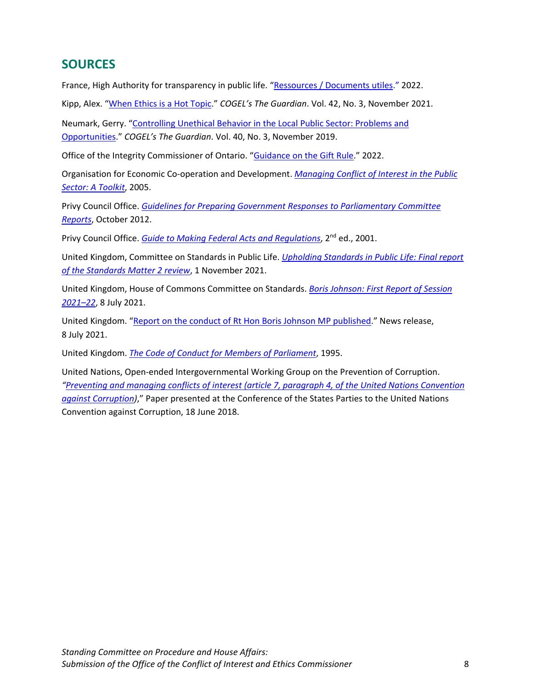## <span id="page-10-0"></span>**SOURCES**

France, High Authority for transparency in public life. ["Ressources / Documents utiles."](https://www.hatvp.fr/ressources-documents-utiles/) 2022.

Kipp, Alex. ["When Ethics is a Hot Topic.](https://cdn.ymaws.com/www.cogel.org/resource/resmgr/cogel_guardian/COGELGuardianOct2021.pdf)" *COGEL's The Guardian*. Vol. 42, No. 3, November 2021.

Neumark, Gerry. ["Controlling Unethical Behavior in the Local Public Sector: Problems and](https://cdn.ymaws.com/cogel.site-ym.com/resource/resmgr/cogel_guardian/COGELGuardianNov2019.pdf)  [Opportunities.](https://cdn.ymaws.com/cogel.site-ym.com/resource/resmgr/cogel_guardian/COGELGuardianNov2019.pdf)" *COGEL's The Guardian*. Vol. 40, No. 3, November 2019.

Office of the Integrity Commissioner of Ontario. ["Guidance on the Gift Rule.](https://www.oico.on.ca/en/ministers-staff-guidance-on-the-gift-rule)" 2022.

Organisation for Economic Co-operation and Development. *[Managing Conflict of Interest in the Public](https://www.oecd.org/gov/ethics/49107986.pdf#:%7E:text=The%20OECD%20Guidelines%20define%20a%20conflict%20of%20interest,conflict%20of%20interest%20in%20practice%20can%20be%20difficult.)  [Sector: A Toolkit](https://www.oecd.org/gov/ethics/49107986.pdf#:%7E:text=The%20OECD%20Guidelines%20define%20a%20conflict%20of%20interest,conflict%20of%20interest%20in%20practice%20can%20be%20difficult.)*, 2005.

Privy Council Office. *[Guidelines for Preparing Government Responses to Parliamentary Committee](https://www.canada.ca/en/privy-council/services/publications/guidelines-preparing-government-responses-parliamentary-committee-reports.html)  [Reports](https://www.canada.ca/en/privy-council/services/publications/guidelines-preparing-government-responses-parliamentary-committee-reports.html)*, October 2012.

Privy Council Office. *[Guide to Making Federal Acts and Regulations](https://www.canada.ca/content/dam/pco-bcp/documents/pdfs/fed-acts-eng.pdf)*, 2nd ed., 2001.

United Kingdom, Committee on Standards in Public Life. *[Upholding Standards in Public Life: Final report](https://www.gov.uk/government/publications/upholding-standards-in-public-life-published-report)  [of the Standards Matter 2 review](https://www.gov.uk/government/publications/upholding-standards-in-public-life-published-report)*, 1 November 2021.

United Kingdom, House of Commons Committee on Standards. *[Boris Johnson: First Report of Session](https://committees.parliament.uk/publications/6631/documents/71459/default/)  [2021–22](https://committees.parliament.uk/publications/6631/documents/71459/default/)*, 8 July 2021.

United Kingdom. ["Report on the conduct of Rt Hon Boris Johnson MP published.](https://committees.parliament.uk/committee/290/committee-on-standards/news/156428/report-on-the-conduct-of-rt-hon-boris-johnson-mp-published/)" News release, 8 July 2021.

United Kingdom. *[The Code of Conduct for Members of Parliament](https://publications.parliament.uk/pa/cm201719/cmcode/1882/188202.htm#_idTextAnchor000)*, 1995.

United Nations, Open-ended Intergovernmental Working Group on the Prevention of Corruption. *["Preventing and managing conflicts of interest \(article 7, paragraph 4, of the United Nations Convention](https://www.unodc.org/documents/treaties/UNCAC/WorkingGroups/workinggroup4/2018-September-6-7/V1804122_E.pdf)  [against Corruption\)](https://www.unodc.org/documents/treaties/UNCAC/WorkingGroups/workinggroup4/2018-September-6-7/V1804122_E.pdf)*," Paper presented at the Conference of the States Parties to the United Nations Convention against Corruption, 18 June 2018.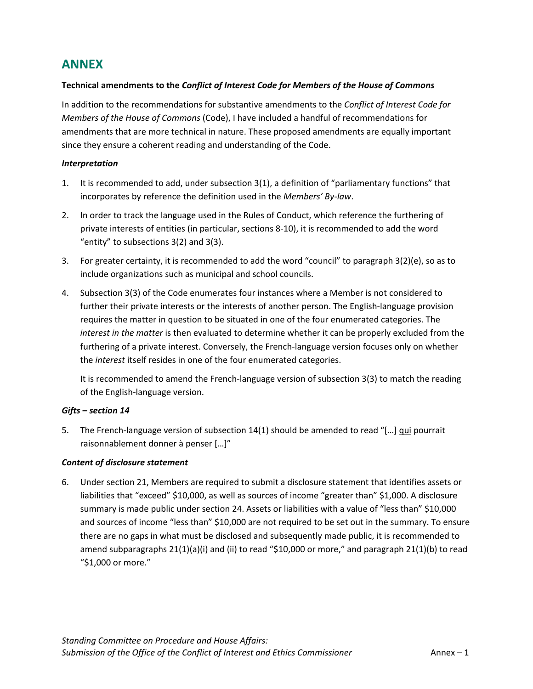## <span id="page-11-0"></span>**ANNEX**

#### **Technical amendments to the** *Conflict of Interest Code for Members of the House of Commons*

In addition to the recommendations for substantive amendments to the *Conflict of Interest Code for Members of the House of Commons* (Code), I have included a handful of recommendations for amendments that are more technical in nature. These proposed amendments are equally important since they ensure a coherent reading and understanding of the Code.

#### *Interpretation*

- 1. It is recommended to add, under subsection 3(1), a definition of "parliamentary functions" that incorporates by reference the definition used in the *Members' By-law*.
- 2. In order to track the language used in the Rules of Conduct, which reference the furthering of private interests of entities (in particular, sections 8-10), it is recommended to add the word "entity" to subsections 3(2) and 3(3).
- 3. For greater certainty, it is recommended to add the word "council" to paragraph 3(2)(e), so as to include organizations such as municipal and school councils.
- 4. Subsection 3(3) of the Code enumerates four instances where a Member is not considered to further their private interests or the interests of another person. The English-language provision requires the matter in question to be situated in one of the four enumerated categories. The *interest in the matter* is then evaluated to determine whether it can be properly excluded from the furthering of a private interest. Conversely, the French-language version focuses only on whether the *interest* itself resides in one of the four enumerated categories.

It is recommended to amend the French-language version of subsection 3(3) to match the reading of the English-language version.

#### *Gifts – section 14*

5. The French-language version of subsection 14(1) should be amended to read "[…] qui pourrait raisonnablement donner à penser […]"

#### *Content of disclosure statement*

6. Under section 21, Members are required to submit a disclosure statement that identifies assets or liabilities that "exceed" \$10,000, as well as sources of income "greater than" \$1,000. A disclosure summary is made public under section 24. Assets or liabilities with a value of "less than" \$10,000 and sources of income "less than" \$10,000 are not required to be set out in the summary. To ensure there are no gaps in what must be disclosed and subsequently made public, it is recommended to amend subparagraphs 21(1)(a)(i) and (ii) to read "\$10,000 or more," and paragraph 21(1)(b) to read "\$1,000 or more."